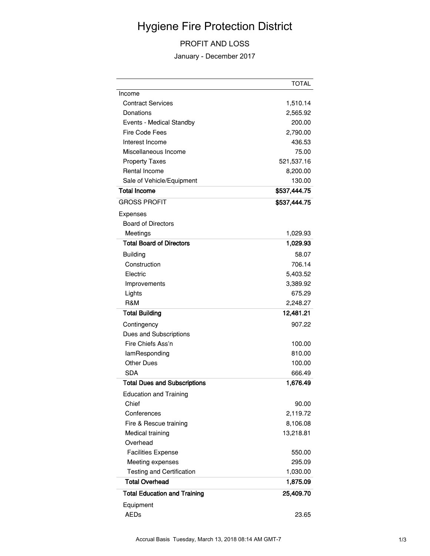## Hygiene Fire Protection District

## PROFIT AND LOSS

January - December 2017

|                                     | <b>TOTAL</b> |
|-------------------------------------|--------------|
| Income                              |              |
| <b>Contract Services</b>            | 1,510.14     |
| Donations                           | 2,565.92     |
| Events - Medical Standby            | 200.00       |
| Fire Code Fees                      | 2,790.00     |
| Interest Income                     | 436.53       |
| Miscellaneous Income                | 75.00        |
| <b>Property Taxes</b>               | 521,537.16   |
| Rental Income                       | 8,200.00     |
| Sale of Vehicle/Equipment           | 130.00       |
| <b>Total Income</b>                 | \$537,444.75 |
| <b>GROSS PROFIT</b>                 | \$537,444.75 |
| Expenses                            |              |
| <b>Board of Directors</b>           |              |
| Meetings                            | 1,029.93     |
| <b>Total Board of Directors</b>     | 1,029.93     |
| <b>Building</b>                     | 58.07        |
| Construction                        | 706.14       |
| Electric                            | 5,403.52     |
| Improvements                        | 3,389.92     |
| Lights                              | 675.29       |
| R&M                                 | 2,248.27     |
| <b>Total Building</b>               | 12,481.21    |
| Contingency                         | 907.22       |
| Dues and Subscriptions              |              |
| Fire Chiefs Ass'n                   | 100.00       |
| lamResponding                       | 810.00       |
| <b>Other Dues</b>                   | 100.00       |
| <b>SDA</b>                          | 666.49       |
| <b>Total Dues and Subscriptions</b> | 1,676.49     |
| <b>Education and Training</b>       |              |
| Chief                               | 90.00        |
| Conferences                         | 2,119.72     |
| Fire & Rescue training              | 8,106.08     |
| Medical training                    | 13,218.81    |
| Overhead                            |              |
| <b>Facilities Expense</b>           | 550.00       |
| Meeting expenses                    | 295.09       |
| <b>Testing and Certification</b>    | 1,030.00     |
| <b>Total Overhead</b>               | 1,875.09     |
| <b>Total Education and Training</b> | 25,409.70    |
| Equipment                           |              |
| <b>AEDs</b>                         | 23.65        |
|                                     |              |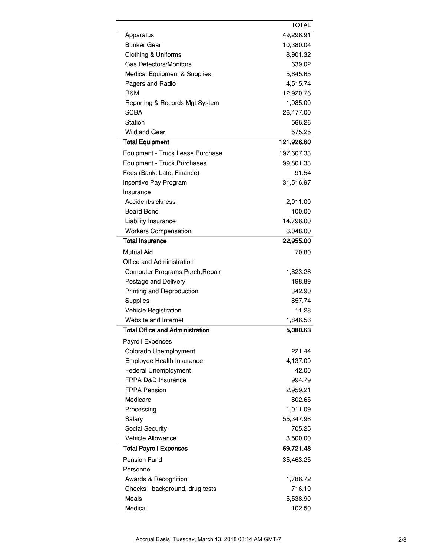|                                        | TOTAL      |
|----------------------------------------|------------|
| Apparatus                              | 49,296.91  |
| <b>Bunker Gear</b>                     | 10,380.04  |
| <b>Clothing &amp; Uniforms</b>         | 8,901.32   |
| Gas Detectors/Monitors                 | 639.02     |
| Medical Equipment & Supplies           | 5,645.65   |
| Pagers and Radio                       | 4,515.74   |
| R&M                                    | 12,920.76  |
| Reporting & Records Mgt System         | 1,985.00   |
| SCBA                                   | 26,477.00  |
| Station                                | 566.26     |
| <b>Wildland Gear</b>                   | 575.25     |
| <b>Total Equipment</b>                 | 121,926.60 |
| Equipment - Truck Lease Purchase       | 197,607.33 |
| Equipment - Truck Purchases            | 99,801.33  |
| Fees (Bank, Late, Finance)             | 91.54      |
| Incentive Pay Program                  | 31,516.97  |
| Insurance                              |            |
| Accident/sickness                      | 2,011.00   |
| Board Bond                             | 100.00     |
| Liability Insurance                    | 14,796.00  |
| <b>Workers Compensation</b>            | 6,048.00   |
| <b>Total Insurance</b>                 | 22,955.00  |
| <b>Mutual Aid</b>                      | 70.80      |
| Office and Administration              |            |
| Computer Programs, Purch, Repair       | 1,823.26   |
| Postage and Delivery                   | 198.89     |
| Printing and Reproduction              | 342.90     |
| Supplies                               | 857.74     |
| Vehicle Registration                   | 11.28      |
| Website and Internet                   | 1,846.56   |
| <b>Total Office and Administration</b> | 5,080.63   |
|                                        |            |
| Payroll Expenses                       |            |
| Colorado Unemployment                  | 221.44     |
| Employee Health Insurance              | 4,137.09   |
| <b>Federal Unemployment</b>            | 42.00      |
| FPPA D&D Insurance                     | 994.79     |
| <b>FPPA Pension</b>                    | 2,959.21   |
| Medicare                               | 802.65     |
| Processing                             | 1,011.09   |
| Salary                                 | 55,347.96  |
| Social Security                        | 705.25     |
| <b>Vehicle Allowance</b>               | 3,500.00   |
| <b>Total Payroll Expenses</b>          | 69,721.48  |
| <b>Pension Fund</b>                    | 35,463.25  |
| Personnel                              |            |
| Awards & Recognition                   | 1,786.72   |
| Checks - background, drug tests        | 716.10     |
| Meals                                  | 5,538.90   |
| Medical                                | 102.50     |